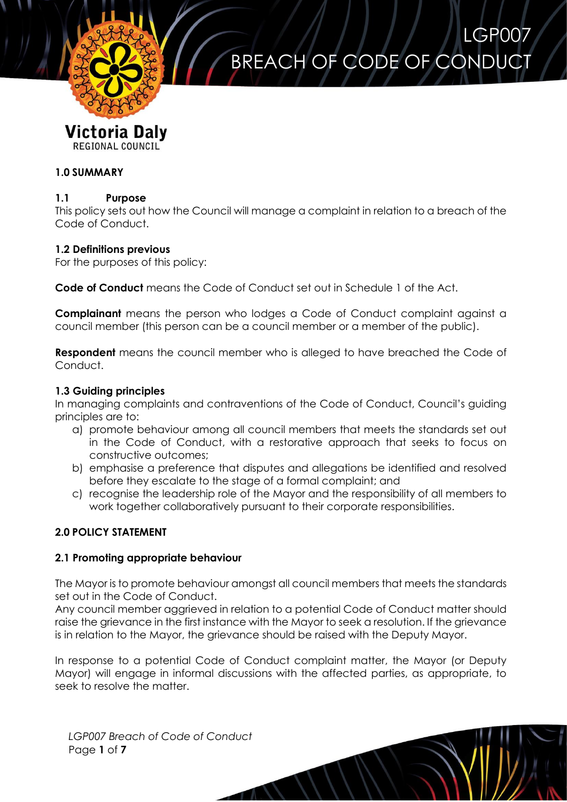

# BREACH OF CODE OF CONDUCT

LGP007

# **1.0 SUMMARY**

#### **1.1 Purpose**

This policy sets out how the Council will manage a complaint in relation to a breach of the Code of Conduct.

#### **1.2 Definitions previous**

For the purposes of this policy:

**Code of Conduct** means the Code of Conduct set out in Schedule 1 of the Act.

**Complainant** means the person who lodges a Code of Conduct complaint against a council member (this person can be a council member or a member of the public).

**Respondent** means the council member who is alleged to have breached the Code of Conduct.

#### **1.3 Guiding principles**

In managing complaints and contraventions of the Code of Conduct, Council's guiding principles are to:

- a) promote behaviour among all council members that meets the standards set out in the Code of Conduct, with a restorative approach that seeks to focus on constructive outcomes;
- b) emphasise a preference that disputes and allegations be identified and resolved before they escalate to the stage of a formal complaint; and
- c) recognise the leadership role of the Mayor and the responsibility of all members to work together collaboratively pursuant to their corporate responsibilities.

# **2.0 POLICY STATEMENT**

# **2.1 Promoting appropriate behaviour**

The Mayor is to promote behaviour amongst all council members that meets the standards set out in the Code of Conduct.

Any council member aggrieved in relation to a potential Code of Conduct matter should raise the grievance in the first instance with the Mayor to seek a resolution. If the grievance is in relation to the Mayor, the grievance should be raised with the Deputy Mayor.

In response to a potential Code of Conduct complaint matter, the Mayor (or Deputy Mayor) will engage in informal discussions with the affected parties, as appropriate, to seek to resolve the matter.

*LGP007 Breach of Code of Conduct* Page **1** of **7**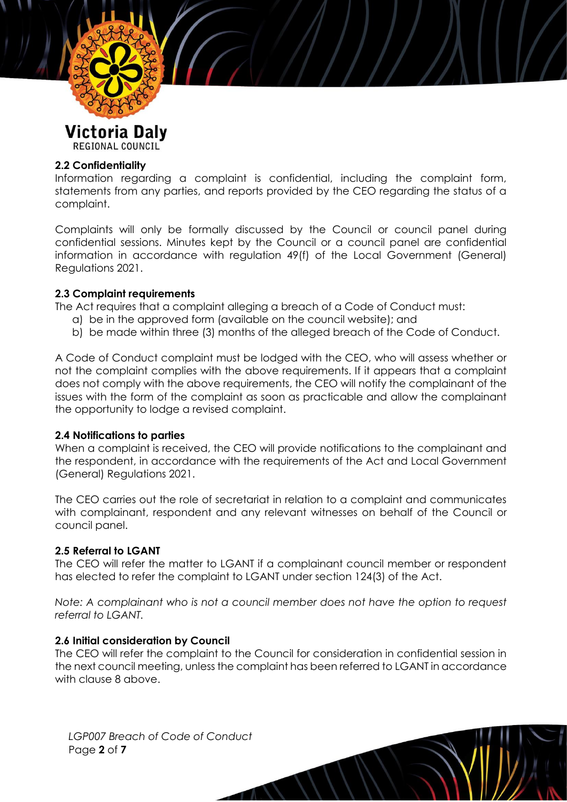

#### **2.2 Confidentiality**

Information regarding a complaint is confidential, including the complaint form, statements from any parties, and reports provided by the CEO regarding the status of a complaint.

Complaints will only be formally discussed by the Council or council panel during confidential sessions. Minutes kept by the Council or a council panel are confidential information in accordance with regulation 49(f) of the Local Government (General) Regulations 2021.

#### **2.3 Complaint requirements**

The Act requires that a complaint alleging a breach of a Code of Conduct must:

- a) be in the approved form (available on the council website); and
- b) be made within three (3) months of the alleged breach of the Code of Conduct.

A Code of Conduct complaint must be lodged with the CEO, who will assess whether or not the complaint complies with the above requirements. If it appears that a complaint does not comply with the above requirements, the CEO will notify the complainant of the issues with the form of the complaint as soon as practicable and allow the complainant the opportunity to lodge a revised complaint.

#### **2.4 Notifications to parties**

When a complaint is received, the CEO will provide notifications to the complainant and the respondent, in accordance with the requirements of the Act and Local Government (General) Regulations 2021.

The CEO carries out the role of secretariat in relation to a complaint and communicates with complainant, respondent and any relevant witnesses on behalf of the Council or council panel.

# **2.5 Referral to LGANT**

The CEO will refer the matter to LGANT if a complainant council member or respondent has elected to refer the complaint to LGANT under section 124(3) of the Act.

*Note: A complainant who is not a council member does not have the option to request referral to LGANT.*

#### **2.6 Initial consideration by Council**

The CEO will refer the complaint to the Council for consideration in confidential session in the next council meeting, unless the complaint has been referred to LGANT in accordance with clause 8 above.

*LGP007 Breach of Code of Conduct* Page **2** of **7**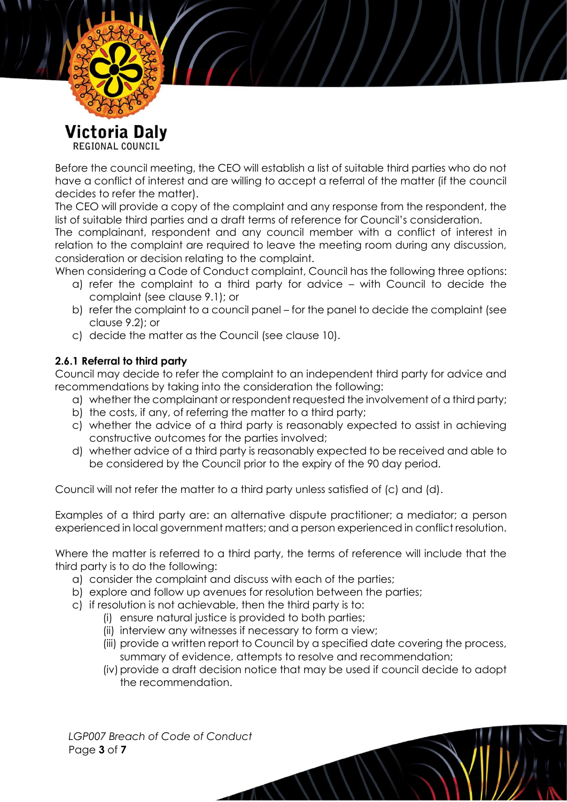

Before the council meeting, the CEO will establish a list of suitable third parties who do not have a conflict of interest and are willing to accept a referral of the matter (if the council decides to refer the matter).

The CEO will provide a copy of the complaint and any response from the respondent, the list of suitable third parties and a draft terms of reference for Council's consideration.

The complainant, respondent and any council member with a conflict of interest in relation to the complaint are required to leave the meeting room during any discussion, consideration or decision relating to the complaint.

When considering a Code of Conduct complaint, Council has the following three options:

- a) refer the complaint to a third party for advice with Council to decide the complaint (see clause 9.1); or
- b) refer the complaint to a council panel for the panel to decide the complaint (see clause 9.2); or
- c) decide the matter as the Council (see clause 10).

# **2.6.1 Referral to third party**

Council may decide to refer the complaint to an independent third party for advice and recommendations by taking into the consideration the following:

- a) whether the complainant or respondent requested the involvement of a third party;
- b) the costs, if any, of referring the matter to a third party;
- c) whether the advice of a third party is reasonably expected to assist in achieving constructive outcomes for the parties involved;
- d) whether advice of a third party is reasonably expected to be received and able to be considered by the Council prior to the expiry of the 90 day period.

Council will not refer the matter to a third party unless satisfied of (c) and (d).

Examples of a third party are: an alternative dispute practitioner; a mediator; a person experienced in local government matters; and a person experienced in conflict resolution.

Where the matter is referred to a third party, the terms of reference will include that the third party is to do the following:

- a) consider the complaint and discuss with each of the parties;
- b) explore and follow up avenues for resolution between the parties;
- c) if resolution is not achievable, then the third party is to:
	- (i) ensure natural justice is provided to both parties;
	- (ii) interview any witnesses if necessary to form a view;
	- (iii) provide a written report to Council by a specified date covering the process, summary of evidence, attempts to resolve and recommendation;
	- (iv)provide a draft decision notice that may be used if council decide to adopt the recommendation.

*LGP007 Breach of Code of Conduct* Page **3** of **7**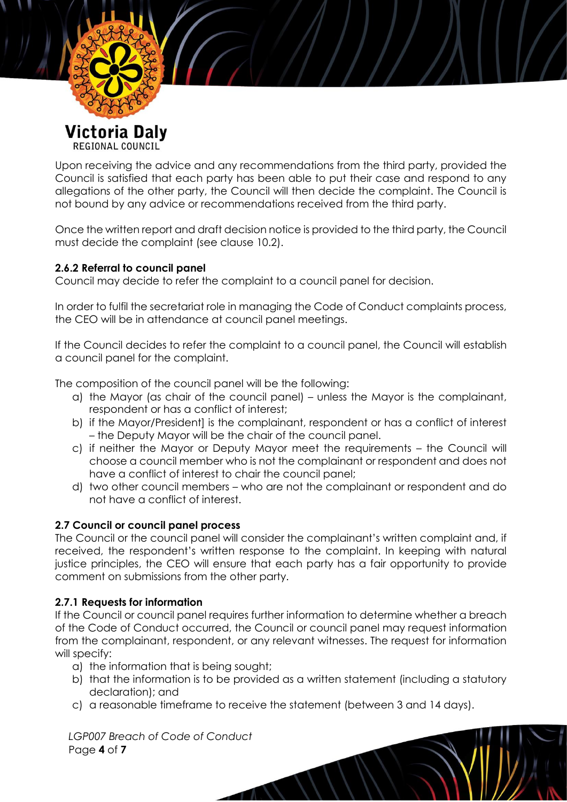

Upon receiving the advice and any recommendations from the third party, provided the Council is satisfied that each party has been able to put their case and respond to any allegations of the other party, the Council will then decide the complaint. The Council is not bound by any advice or recommendations received from the third party.

Once the written report and draft decision notice is provided to the third party, the Council must decide the complaint (see clause 10.2).

# **2.6.2 Referral to council panel**

Council may decide to refer the complaint to a council panel for decision.

In order to fulfil the secretariat role in managing the Code of Conduct complaints process, the CEO will be in attendance at council panel meetings.

If the Council decides to refer the complaint to a council panel, the Council will establish a council panel for the complaint.

The composition of the council panel will be the following:

- a) the Mayor (as chair of the council panel) unless the Mayor is the complainant, respondent or has a conflict of interest;
- b) if the Mayor/President] is the complainant, respondent or has a conflict of interest – the Deputy Mayor will be the chair of the council panel.
- c) if neither the Mayor or Deputy Mayor meet the requirements the Council will choose a council member who is not the complainant or respondent and does not have a conflict of interest to chair the council panel;
- d) two other council members who are not the complainant or respondent and do not have a conflict of interest.

# **2.7 Council or council panel process**

The Council or the council panel will consider the complainant's written complaint and, if received, the respondent's written response to the complaint. In keeping with natural justice principles, the CEO will ensure that each party has a fair opportunity to provide comment on submissions from the other party.

# **2.7.1 Requests for information**

If the Council or council panel requires further information to determine whether a breach of the Code of Conduct occurred, the Council or council panel may request information from the complainant, respondent, or any relevant witnesses. The request for information will specify:

- a) the information that is being sought;
- b) that the information is to be provided as a written statement (including a statutory declaration); and
- c) a reasonable timeframe to receive the statement (between 3 and 14 days).

*LGP007 Breach of Code of Conduct* Page **4** of **7**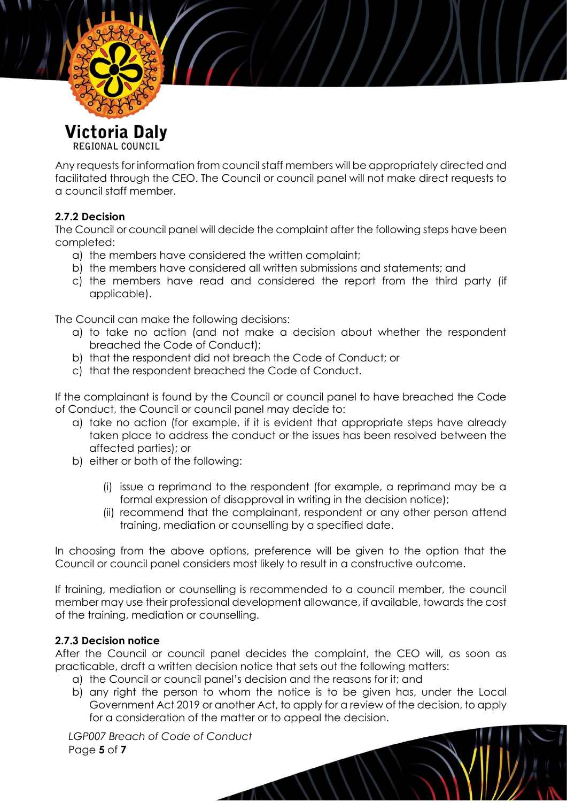

Any requests for information from council staff members will be appropriately directed and facilitated through the CEO. The Council or council panel will not make direct requests to a council staff member.

# **2.7.2 Decision**

The Council or council panel will decide the complaint after the following steps have been completed:

- a) the members have considered the written complaint;
- b) the members have considered all written submissions and statements; and
- c) the members have read and considered the report from the third party (if applicable).

The Council can make the following decisions:

- a) to take no action (and not make a decision about whether the respondent breached the Code of Conduct);
- b) that the respondent did not breach the Code of Conduct; or
- c) that the respondent breached the Code of Conduct.

If the complainant is found by the Council or council panel to have breached the Code of Conduct, the Council or council panel may decide to:

- a) take no action (for example, if it is evident that appropriate steps have already taken place to address the conduct or the issues has been resolved between the affected parties); or
- b) either or both of the following:
	- (i) issue a reprimand to the respondent (for example, a reprimand may be a formal expression of disapproval in writing in the decision notice);
	- (ii) recommend that the complainant, respondent or any other person attend training, mediation or counselling by a specified date.

In choosing from the above options, preference will be given to the option that the Council or council panel considers most likely to result in a constructive outcome.

If training, mediation or counselling is recommended to a council member, the council member may use their professional development allowance, if available, towards the cost of the training, mediation or counselling.

# **2.7.3 Decision notice**

After the Council or council panel decides the complaint, the CEO will, as soon as practicable, draft a written decision notice that sets out the following matters:

- a) the Council or council panel's decision and the reasons for it; and
- b) any right the person to whom the notice is to be given has, under the Local Government Act 2019 or another Act, to apply for a review of the decision, to apply for a consideration of the matter or to appeal the decision.

*LGP007 Breach of Code of Conduct* Page **5** of **7**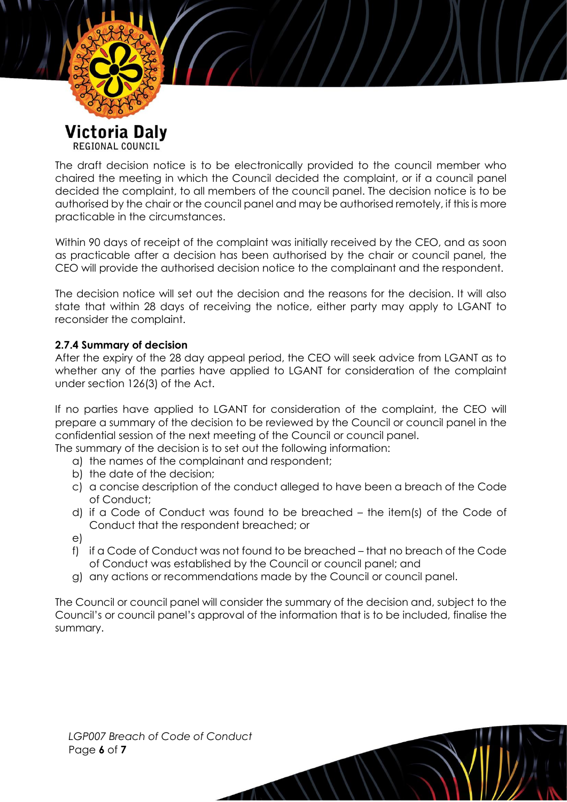

The draft decision notice is to be electronically provided to the council member who chaired the meeting in which the Council decided the complaint, or if a council panel decided the complaint, to all members of the council panel. The decision notice is to be authorised by the chair or the council panel and may be authorised remotely, if this is more practicable in the circumstances.

Within 90 days of receipt of the complaint was initially received by the CEO, and as soon as practicable after a decision has been authorised by the chair or council panel, the CEO will provide the authorised decision notice to the complainant and the respondent.

The decision notice will set out the decision and the reasons for the decision. It will also state that within 28 days of receiving the notice, either party may apply to LGANT to reconsider the complaint.

# **2.7.4 Summary of decision**

After the expiry of the 28 day appeal period, the CEO will seek advice from LGANT as to whether any of the parties have applied to LGANT for consideration of the complaint under section 126(3) of the Act.

If no parties have applied to LGANT for consideration of the complaint, the CEO will prepare a summary of the decision to be reviewed by the Council or council panel in the confidential session of the next meeting of the Council or council panel. The summary of the decision is to set out the following information:

- a) the names of the complainant and respondent;
- b) the date of the decision;
- c) a concise description of the conduct alleged to have been a breach of the Code of Conduct;
- d) if a Code of Conduct was found to be breached the item(s) of the Code of Conduct that the respondent breached; or
- e)
- f) if a Code of Conduct was not found to be breached that no breach of the Code of Conduct was established by the Council or council panel; and
- g) any actions or recommendations made by the Council or council panel.

The Council or council panel will consider the summary of the decision and, subject to the Council's or council panel's approval of the information that is to be included, finalise the summary.